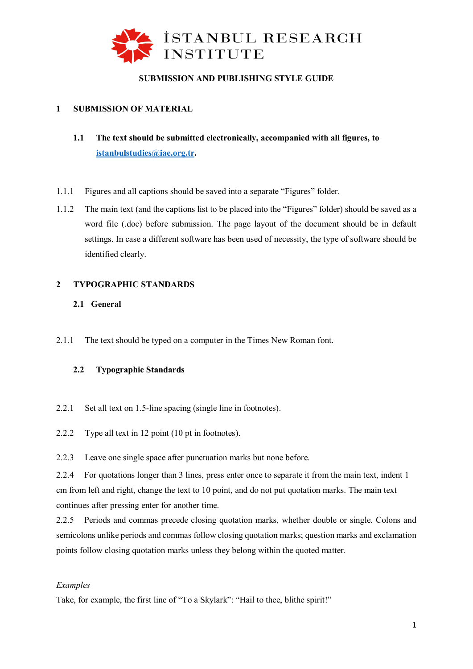

# **SUBMISSION AND PUBLISHING STYLE GUIDE**

# **1 SUBMISSION OF MATERIAL**

- **1.1 The text should be submitted electronically, accompanied with all figures, to [istanbulstudies@iae.org.tr.](mailto:istanbulstudies@iae.org.tr)**
- 1.1.1 Figures and all captions should be saved into a separate "Figures" folder.
- 1.1.2 The main text (and the captions list to be placed into the "Figures" folder) should be saved as a word file (.doc) before submission. The page layout of the document should be in default settings. In case a different software has been used of necessity, the type of software should be identified clearly.

# **2 TYPOGRAPHIC STANDARDS**

# **2.1 General**

2.1.1 The text should be typed on a computer in the Times New Roman font.

# **2.2 Typographic Standards**

- 2.2.1 Set all text on 1.5-line spacing (single line in footnotes).
- 2.2.2 Type all text in 12 point (10 pt in footnotes).

2.2.3 Leave one single space after punctuation marks but none before.

2.2.4 For quotations longer than 3 lines, press enter once to separate it from the main text, indent 1 cm from left and right, change the text to 10 point, and do not put quotation marks. The main text continues after pressing enter for another time.

2.2.5 Periods and commas precede closing quotation marks, whether double or single. Colons and semicolons unlike periods and commas follow closing quotation marks; question marks and exclamation points follow closing quotation marks unless they belong within the quoted matter.

# *Examples*

Take, for example, the first line of "To a Skylark": "Hail to thee, blithe spirit!"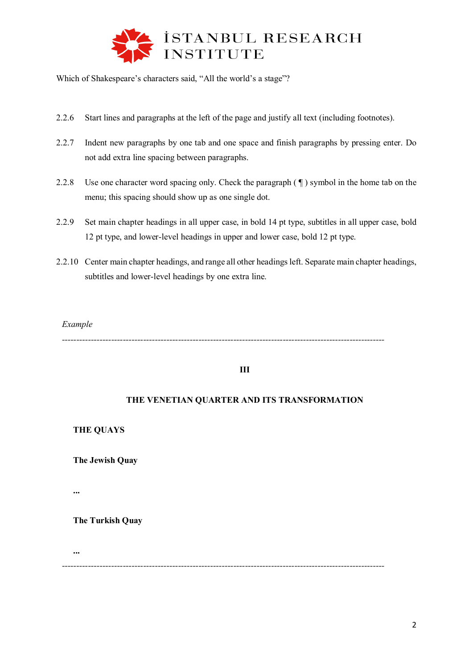

Which of Shakespeare's characters said, "All the world's a stage"?

- 2.2.6 Start lines and paragraphs at the left of the page and justify all text (including footnotes).
- 2.2.7 Indent new paragraphs by one tab and one space and finish paragraphs by pressing enter. Do not add extra line spacing between paragraphs.
- 2.2.8 Use one character word spacing only. Check the paragraph ( $\P$ ) symbol in the home tab on the menu; this spacing should show up as one single dot.
- 2.2.9 Set main chapter headings in all upper case, in bold 14 pt type, subtitles in all upper case, bold 12 pt type, and lower-level headings in upper and lower case, bold 12 pt type.
- 2.2.10 Center main chapter headings, and range all other headings left. Separate main chapter headings, subtitles and lower-level headings by one extra line.

*Example*

*---------------------------------------------------------------------------------------------------------------*

# **III**

# **THE VENETIAN QUARTER AND ITS TRANSFORMATION**

**THE QUAYS**

**The Jewish Quay**

**...**

**...**

**The Turkish Quay**

*---------------------------------------------------------------------------------------------------------------*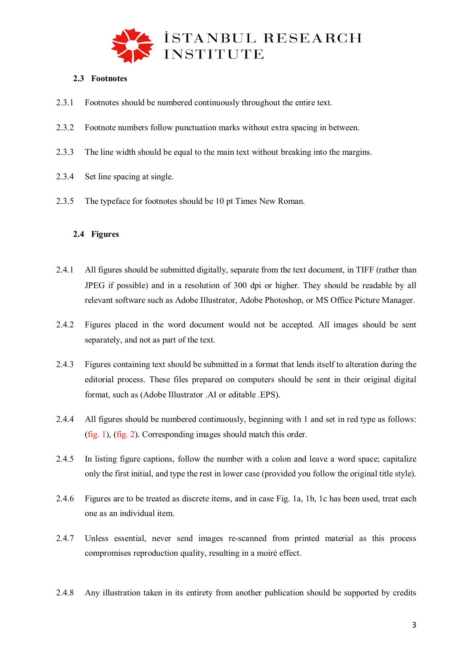

# **2.3 Footnotes**

- 2.3.1 Footnotes should be numbered continuously throughout the entire text.
- 2.3.2 Footnote numbers follow punctuation marks without extra spacing in between.
- 2.3.3 The line width should be equal to the main text without breaking into the margins.
- 2.3.4 Set line spacing at single.
- 2.3.5 The typeface for footnotes should be 10 pt Times New Roman.

## **2.4 Figures**

- 2.4.1 All figures should be submitted digitally, separate from the text document, in TIFF (rather than JPEG if possible) and in a resolution of 300 dpi or higher. They should be readable by all relevant software such as Adobe Illustrator, Adobe Photoshop, or MS Office Picture Manager.
- 2.4.2 Figures placed in the word document would not be accepted. All images should be sent separately, and not as part of the text.
- 2.4.3 Figures containing text should be submitted in a format that lends itself to alteration during the editorial process. These files prepared on computers should be sent in their original digital format, such as (Adobe Illustrator .AI or editable .EPS).
- 2.4.4 All figures should be numbered continuously, beginning with 1 and set in red type as follows: (fig. 1), (fig. 2). Corresponding images should match this order.
- 2.4.5 In listing figure captions, follow the number with a colon and leave a word space; capitalize only the first initial, and type the rest in lower case (provided you follow the original title style).
- 2.4.6 Figures are to be treated as discrete items, and in case Fig. 1a, 1b, 1c has been used, treat each one as an individual item.
- 2.4.7 Unless essential, never send images re-scanned from printed material as this process compromises reproduction quality, resulting in a moiré effect.
- 2.4.8 Any illustration taken in its entirety from another publication should be supported by credits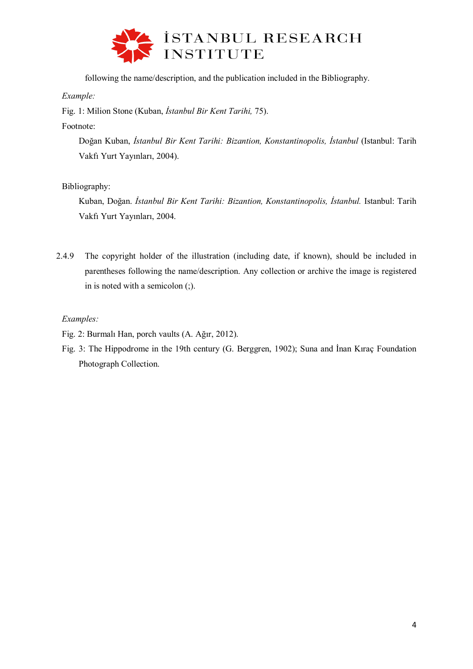

following the name/description, and the publication included in the Bibliography.

*Example:*

Fig. 1: Milion Stone (Kuban, *İstanbul Bir Kent Tarihi,* 75).

Footnote:

Doğan Kuban, *İstanbul Bir Kent Tarihi: Bizantion, Konstantinopolis, İstanbul* (Istanbul: Tarih Vakfı Yurt Yayınları, 2004).

Bibliography:

Kuban, Doğan. *İstanbul Bir Kent Tarihi: Bizantion, Konstantinopolis, İstanbul.* Istanbul: Tarih Vakfı Yurt Yayınları, 2004.

- 2.4.9 The copyright holder of the illustration (including date, if known), should be included in parentheses following the name/description. Any collection or archive the image is registered in is noted with a semicolon (;).
	- *Examples:*
	- Fig. 2: Burmalı Han, porch vaults (A. Ağır, 2012).
	- Fig. 3: The Hippodrome in the 19th century (G. Berggren, 1902); Suna and İnan Kıraç Foundation Photograph Collection.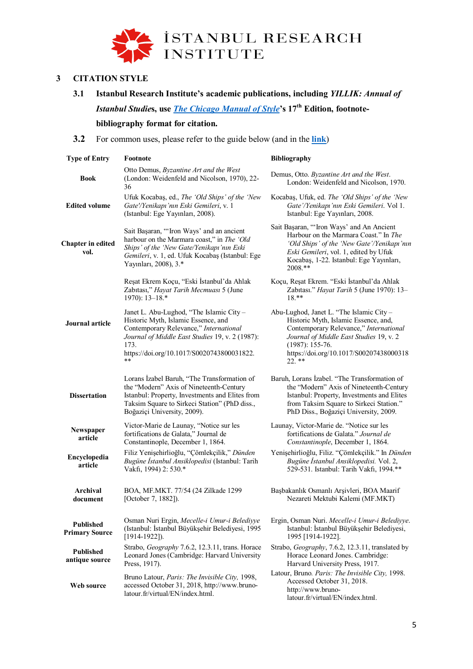

# **3 CITATION STYLE**

**3.1 Istanbul Research Institute's academic publications, including** *YILLIK: Annual of Istanbul Studie***s, use** *The Chicago Manual of Style***'s 17th Edition, footnote-**

# **bibliography format for citation.**

**3.2** For common uses, please refer to the guide below (and in the **[link](https://en.iae.org.tr/Images/pdf/chicagokilavuz_en.pdf)**)

| <b>Type of Entry</b>                      | Footnote                                                                                                                                                                                                                                    | <b>Bibliography</b>                                                                                                                                                                                                                             |
|-------------------------------------------|---------------------------------------------------------------------------------------------------------------------------------------------------------------------------------------------------------------------------------------------|-------------------------------------------------------------------------------------------------------------------------------------------------------------------------------------------------------------------------------------------------|
| <b>Book</b>                               | Otto Demus, Byzantine Art and the West<br>(London: Weidenfeld and Nicolson, 1970), 22-<br>36                                                                                                                                                | Demus, Otto. Byzantine Art and the West.<br>London: Weidenfeld and Nicolson, 1970.                                                                                                                                                              |
| <b>Edited volume</b>                      | Ufuk Kocabaş, ed., The 'Old Ships' of the 'New<br>Gate'/Yenikapı'nın Eski Gemileri, v. 1<br>(Istanbul: Ege Yayınları, 2008).                                                                                                                | Kocabaş, Ufuk, ed. The 'Old Ships' of the 'New<br>Gate'/Yenikapı'nın Eski Gemileri. Vol 1.<br>Istanbul: Ege Yayınları, 2008.                                                                                                                    |
| <b>Chapter</b> in edited<br>vol.          | Sait Başaran, "'Iron Ways' and an ancient<br>harbour on the Marmara coast," in The 'Old<br>Ships' of the 'New Gate/Yenikapı'nın Eski<br>Gemileri, v. 1, ed. Ufuk Kocabaş (Istanbul: Ege<br>Yayınları, 2008), 3.*                            | Sait Başaran, "'Iron Ways' and An Ancient<br>Harbour on the Marmara Coast." In The<br>'Old Ships' of the 'New Gate'/Yenikapı'nın<br>Eski Gemileri, vol. 1, edited by Ufuk<br>Kocabaş, 1-22. Istanbul: Ege Yayınları,<br>2008.**                 |
|                                           | Reşat Ekrem Koçu, "Eski İstanbul'da Ahlak<br>Zabitasi," Hayat Tarih Mecmuasi 5 (June<br>$1970$ : 13-18.*                                                                                                                                    | Koçu, Reşat Ekrem. "Eski İstanbul'da Ahlak<br>Zabitasi." Hayat Tarih 5 (June 1970): 13-<br>$18.**$                                                                                                                                              |
| Journal article                           | Janet L. Abu-Lughod, "The Islamic City -<br>Historic Myth, Islamic Essence, and<br>Contemporary Relevance," International<br>Journal of Middle East Studies 19, v. 2 (1987):<br>173.<br>https://doi.org/10.1017/S0020743800031822.<br>$* *$ | Abu-Lughod, Janet L. "The Islamic City -<br>Historic Myth, Islamic Essence, and,<br>Contemporary Relevance," International<br>Journal of Middle East Studies 19, v. 2<br>$(1987): 155-76.$<br>https://doi.org/10.1017/S00207438000318<br>22. ** |
| <b>Dissertation</b>                       | Lorans Izabel Baruh, "The Transformation of<br>the "Modern" Axis of Nineteenth-Century<br>Istanbul: Property, Investments and Elites from<br>Taksim Square to Sirkeci Station" (PhD diss.,<br>Boğaziçi University, 2009).                   | Baruh, Lorans İzabel. "The Transformation of<br>the "Modern" Axis of Nineteenth-Century<br>Istanbul: Property, Investments and Elites<br>from Taksim Square to Sirkeci Station."<br>PhD Diss., Boğaziçi University, 2009.                       |
| Newspaper<br>article                      | Victor-Marie de Launay, "Notice sur les<br>fortifications de Galata," Journal de<br>Constantinople, December 1, 1864.                                                                                                                       | Launay, Victor-Marie de. "Notice sur les<br>fortifications de Galata." Journal de<br>Constantinople, December 1, 1864.                                                                                                                          |
| Encyclopedia<br>article                   | Filiz Yenişehirlioğlu, "Çömlekçilik," Dünden<br>Bugüne İstanbul Ansiklopedisi (Istanbul: Tarih<br>Vakfi, 1994) 2: 530.*                                                                                                                     | Yenişehirlioğlu, Filiz. "Çömlekçilik." In Dünden<br>Bugüne İstanbul Ansiklopedisi. Vol. 2,<br>529-531. Istanbul: Tarih Vakfi, 1994.**                                                                                                           |
| Archival<br>document                      | BOA, MF.MKT. 77/54 (24 Zilkade 1299<br>[October 7, 1882]).                                                                                                                                                                                  | Başbakanlık Osmanlı Arşivleri, BOA Maarif<br>Nezareti Mektubi Kalemi (MF.MKT)                                                                                                                                                                   |
| <b>Published</b><br><b>Primary Source</b> | Osman Nuri Ergin, Mecelle-i Umur-i Belediyye<br>(Istanbul: İstanbul Büyükşehir Belediyesi, 1995<br>$[1914-1922]$ ).                                                                                                                         | Ergin, Osman Nuri. Mecelle-i Umur-i Belediyye.<br>Istanbul: İstanbul Büyükşehir Belediyesi,<br>1995 [1914-1922].                                                                                                                                |
| <b>Published</b><br>antique source        | Strabo, Geography 7.6.2, 12.3.11, trans. Horace<br>Leonard Jones (Cambridge: Harvard University<br>Press, 1917).                                                                                                                            | Strabo, Geography, 7.6.2, 12.3.11, translated by<br>Horace Leonard Jones. Cambridge:<br>Harvard University Press, 1917.                                                                                                                         |
| Web source                                | Bruno Latour, Paris: The Invisible City, 1998,<br>accessed October 31, 2018, http://www.bruno-<br>latour.fr/virtual/EN/index.html.                                                                                                          | Latour, Bruno. Paris: The Invisible City, 1998.<br>Accessed October 31, 2018.<br>http://www.bruno-<br>latour.fr/virtual/EN/index.html.                                                                                                          |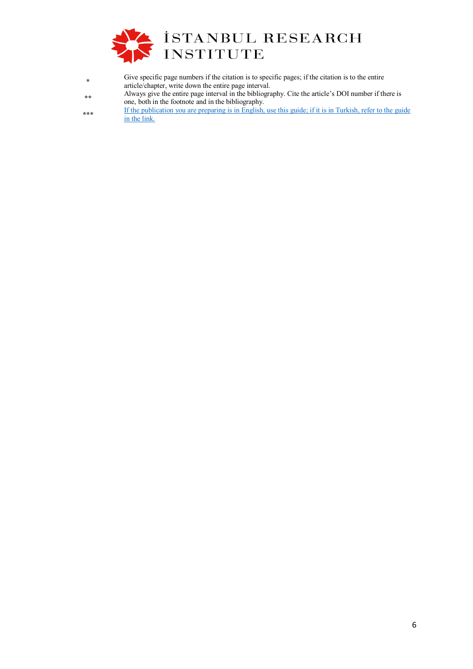

**\*** Give specific page numbers if the citation is to specific pages; if the citation is to the entire article/chapter, write down the entire page interval. **\*\*** Always give the entire page interval in the bibliography. Cite the article's DOI number if there is one, both in the footnote and in the bibliography. \*\*\* If the publication you are preparing is in English, use this guide; if it is in Turkish, refer to the guide [in the link.](https://www.iae.org.tr/Images/pdf/chicagokilavuz.pdf)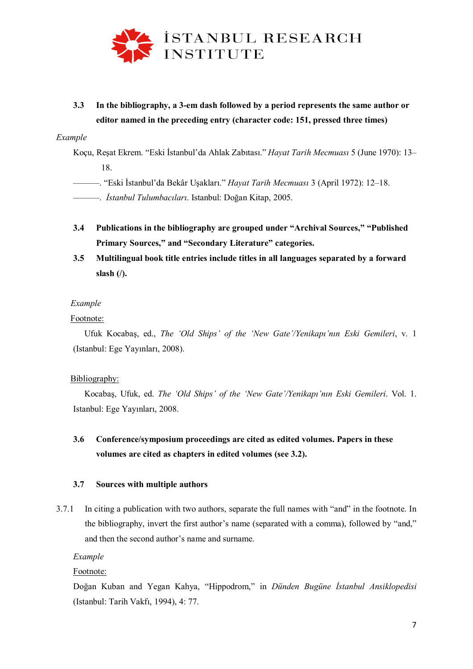

**3.3 In the bibliography, a 3-em dash followed by a period represents the same author or editor named in the preceding entry (character code: 151, pressed three times)**

#### *Example*

Koçu, Reşat Ekrem. "Eski İstanbul'da Ahlak Zabıtası." *Hayat Tarih Mecmuası* 5 (June 1970): 13– 18.

———. "Eski İstanbul'da Bekâr Uşakları." *Hayat Tarih Mecmuası* 3 (April 1972): 12–18.

———. *İstanbul Tulumbacıları*. Istanbul: Doğan Kitap, 2005.

- **3.4 Publications in the bibliography are grouped under "Archival Sources," "Published Primary Sources," and "Secondary Literature" categories.**
- **3.5 Multilingual book title entries include titles in all languages separated by a forward slash (/).**

## *Example*

## Footnote:

Ufuk Kocabaş, ed., *The 'Old Ships' of the 'New Gate'/Yenikapı'nın Eski Gemileri*, v. 1 (Istanbul: Ege Yayınları, 2008).

#### Bibliography:

Kocabaş, Ufuk, ed. *The 'Old Ships' of the 'New Gate'/Yenikapı'nın Eski Gemileri*. Vol. 1. Istanbul: Ege Yayınları, 2008.

# **3.6 Conference/symposium proceedings are cited as edited volumes. Papers in these volumes are cited as chapters in edited volumes (see 3.2).**

#### **3.7 Sources with multiple authors**

3.7.1 In citing a publication with two authors, separate the full names with "and" in the footnote. In the bibliography, invert the first author's name (separated with a comma), followed by "and," and then the second author's name and surname.

*Example*

Footnote:

Doğan Kuban and Yegan Kahya, "Hippodrom," in *Dünden Bugüne İstanbul Ansiklopedisi* (Istanbul: Tarih Vakfı, 1994), 4: 77.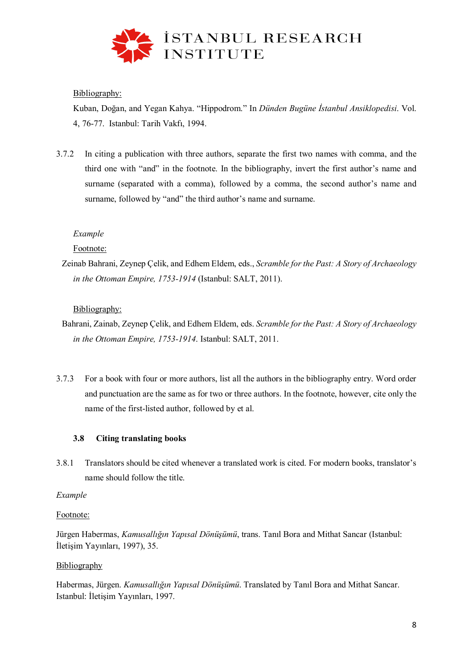

# Bibliography:

Kuban, Doğan, and Yegan Kahya. "Hippodrom." In *Dünden Bugüne İstanbul Ansiklopedisi*. Vol. 4, 76-77. Istanbul: Tarih Vakfı, 1994.

3.7.2 In citing a publication with three authors, separate the first two names with comma, and the third one with "and" in the footnote. In the bibliography, invert the first author's name and surname (separated with a comma), followed by a comma, the second author's name and surname, followed by "and" the third author's name and surname.

# *Example*

# Footnote:

Zeinab Bahrani, Zeynep Çelik, and Edhem Eldem, eds., *Scramble for the Past: A Story of Archaeology in the Ottoman Empire, 1753-1914* (Istanbul: SALT, 2011).

# Bibliography:

- Bahrani, Zainab, Zeynep Çelik, and Edhem Eldem, eds. *Scramble for the Past: A Story of Archaeology in the Ottoman Empire, 1753-1914*. Istanbul: SALT, 2011.
- 3.7.3 For a book with four or more authors, list all the authors in the bibliography entry. Word order and punctuation are the same as for two or three authors. In the footnote, however, cite only the name of the first-listed author, followed by et al.

# **3.8 Citing translating books**

3.8.1 Translators should be cited whenever a translated work is cited. For modern books, translator's name should follow the title.

# *Example*

# Footnote:

Jürgen Habermas, *Kamusallığın Yapısal Dönüşümü*, trans. Tanıl Bora and Mithat Sancar (Istanbul: İletişim Yayınları, 1997), 35.

# Bibliography

Habermas, Jürgen. *Kamusallığın Yapısal Dönüşümü*. Translated by Tanıl Bora and Mithat Sancar. Istanbul: İletişim Yayınları, 1997.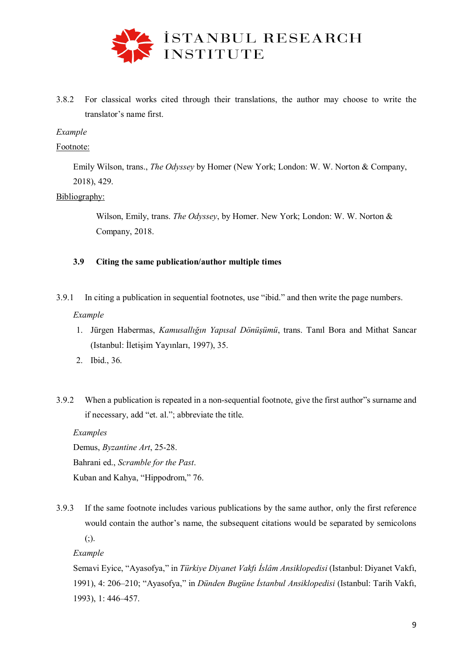

3.8.2 For classical works cited through their translations, the author may choose to write the translator's name first.

## *Example*

## Footnote:

Emily Wilson, trans., *The Odyssey* by Homer (New York; London: W. W. Norton & Company, 2018), 429.

## Bibliography:

Wilson, Emily, trans. *The Odyssey*, by Homer. New York; London: W. W. Norton & Company, 2018.

## **3.9 Citing the same publication/author multiple times**

3.9.1 In citing a publication in sequential footnotes, use "ibid." and then write the page numbers.

## *Example*

- 1. Jürgen Habermas, *Kamusallığın Yapısal Dönüşümü*, trans. Tanıl Bora and Mithat Sancar (Istanbul: İletişim Yayınları, 1997), 35.
- 2. Ibid., 36.
- 3.9.2 When a publication is repeated in a non-sequential footnote, give the first author"s surname and if necessary, add "et. al."; abbreviate the title.

*Examples*

Demus, *Byzantine Art*, 25-28. Bahrani ed., *Scramble for the Past*.

Kuban and Kahya, "Hippodrom," 76.

3.9.3 If the same footnote includes various publications by the same author, only the first reference would contain the author's name, the subsequent citations would be separated by semicolons  $($ ; $).$ 

*Example*

Semavi Eyice, "Ayasofya," in *Türkiye Diyanet Vakfı İslâm Ansiklopedisi* (Istanbul: Diyanet Vakfı, 1991), 4: 206–210; "Ayasofya," in *Dünden Bugüne İstanbul Ansiklopedisi* (Istanbul: Tarih Vakfı, 1993), 1: 446–457.